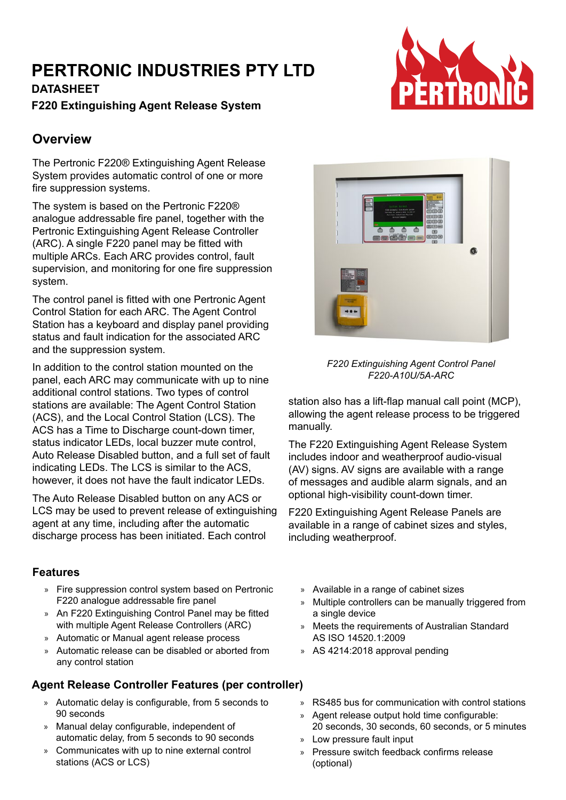# **PERTRONIC INDUSTRIES PTY LTD**

**DATASHEET F220 Extinguishing Agent Release System**

## **Overview**

The Pertronic F220® Extinguishing Agent Release System provides automatic control of one or more fire suppression systems.

The system is based on the Pertronic F220® analogue addressable fire panel, together with the Pertronic Extinguishing Agent Release Controller (ARC). A single F220 panel may be fitted with multiple ARCs. Each ARC provides control, fault supervision, and monitoring for one fire suppression system.

The control panel is fitted with one Pertronic Agent Control Station for each ARC. The Agent Control Station has a keyboard and display panel providing status and fault indication for the associated ARC and the suppression system.

In addition to the control station mounted on the panel, each ARC may communicate with up to nine additional control stations. Two types of control stations are available: The Agent Control Station (ACS), and the Local Control Station (LCS). The ACS has a Time to Discharge count-down timer, status indicator LEDs, local buzzer mute control, Auto Release Disabled button, and a full set of fault indicating LEDs. The LCS is similar to the ACS, however, it does not have the fault indicator LEDs.

The Auto Release Disabled button on any ACS or LCS may be used to prevent release of extinguishing agent at any time, including after the automatic discharge process has been initiated. Each control

#### **Features**

- » Fire suppression control system based on Pertronic F220 analogue addressable fire panel
- » An F220 Extinguishing Control Panel may be fitted with multiple Agent Release Controllers (ARC)
- » Automatic or Manual agent release process
- » Automatic release can be disabled or aborted from any control station

### **Agent Release Controller Features (per controller)**

- » Automatic delay is configurable, from 5 seconds to 90 seconds
- » Manual delay configurable, independent of automatic delay, from 5 seconds to 90 seconds
- » Communicates with up to nine external control stations (ACS or LCS)



#### *F220 Extinguishing Agent Control Panel F220-A10U/5A-ARC*

station also has a lift-flap manual call point (MCP), allowing the agent release process to be triggered manually.

The F220 Extinguishing Agent Release System includes indoor and weatherproof audio-visual (AV) signs. AV signs are available with a range of messages and audible alarm signals, and an optional high-visibility count-down timer.

F220 Extinguishing Agent Release Panels are available in a range of cabinet sizes and styles, including weatherproof.

- » Available in a range of cabinet sizes
- » Multiple controllers can be manually triggered from a single device
- » Meets the requirements of Australian Standard AS ISO 14520.1:2009
- » AS 4214:2018 approval pending
- » RS485 bus for communication with control stations
- » Agent release output hold time configurable: 20 seconds, 30 seconds, 60 seconds, or 5 minutes
- » Low pressure fault input
- » Pressure switch feedback confirms release (optional)